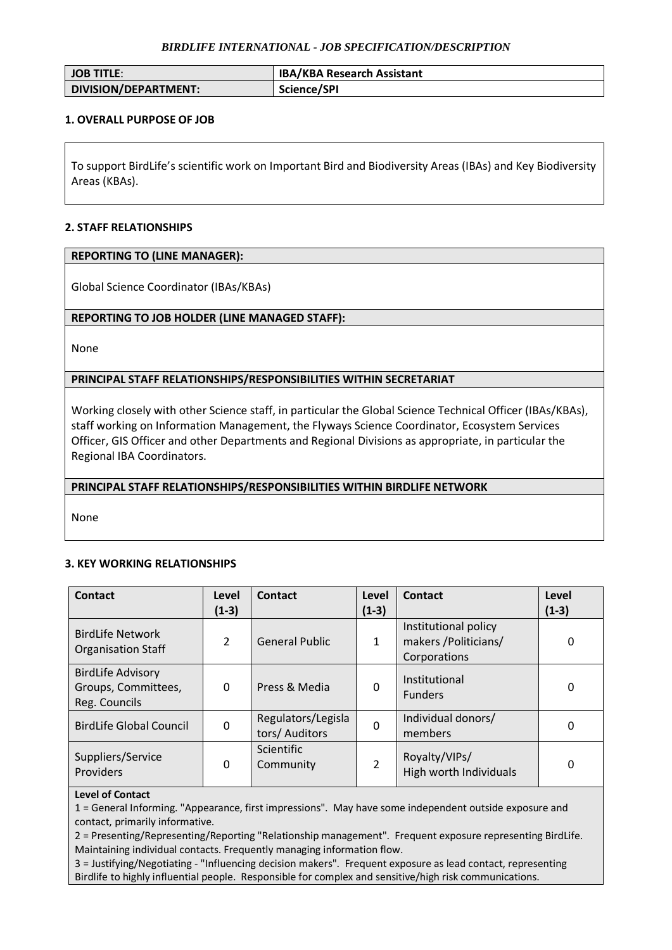## *BIRDLIFE INTERNATIONAL - JOB SPECIFICATION/DESCRIPTION*

| <b>I JOB TITLE:</b>  | <b>IBA/KBA Research Assistant</b> |
|----------------------|-----------------------------------|
| DIVISION/DEPARTMENT: | Science/SPI                       |

## **1. OVERALL PURPOSE OF JOB**

To support BirdLife's scientific work on Important Bird and Biodiversity Areas (IBAs) and Key Biodiversity Areas (KBAs).

## **2. STAFF RELATIONSHIPS**

### **REPORTING TO (LINE MANAGER):**

Global Science Coordinator (IBAs/KBAs)

# **REPORTING TO JOB HOLDER (LINE MANAGED STAFF):**

None

# **PRINCIPAL STAFF RELATIONSHIPS/RESPONSIBILITIES WITHIN SECRETARIAT**

Working closely with other Science staff, in particular the Global Science Technical Officer (IBAs/KBAs), staff working on Information Management, the Flyways Science Coordinator, Ecosystem Services Officer, GIS Officer and other Departments and Regional Divisions as appropriate, in particular the Regional IBA Coordinators.

## **PRINCIPAL STAFF RELATIONSHIPS/RESPONSIBILITIES WITHIN BIRDLIFE NETWORK**

None

## **3. KEY WORKING RELATIONSHIPS**

| Contact                                                          | Level<br>$(1-3)$ | Contact                              | Level<br>$(1-3)$ | Contact                                                       | Level<br>$(1-3)$ |
|------------------------------------------------------------------|------------------|--------------------------------------|------------------|---------------------------------------------------------------|------------------|
| <b>BirdLife Network</b><br><b>Organisation Staff</b>             | $\mathcal{P}$    | <b>General Public</b>                | $\mathbf{1}$     | Institutional policy<br>makers / Politicians/<br>Corporations | 0                |
| <b>BirdLife Advisory</b><br>Groups, Committees,<br>Reg. Councils | 0                | Press & Media                        | 0                | Institutional<br><b>Funders</b>                               | 0                |
| <b>BirdLife Global Council</b>                                   | 0                | Regulators/Legisla<br>tors/ Auditors | $\mathbf 0$      | Individual donors/<br>members                                 | 0                |
| Suppliers/Service<br>Providers                                   | 0                | <b>Scientific</b><br>Community       | $\overline{2}$   | Royalty/VIPs/<br>High worth Individuals                       | 0                |

#### **Level of Contact**

1 = General Informing. "Appearance, first impressions". May have some independent outside exposure and contact, primarily informative.

2 = Presenting/Representing/Reporting "Relationship management". Frequent exposure representing BirdLife. Maintaining individual contacts. Frequently managing information flow.

3 = Justifying/Negotiating - "Influencing decision makers". Frequent exposure as lead contact, representing Birdlife to highly influential people. Responsible for complex and sensitive/high risk communications.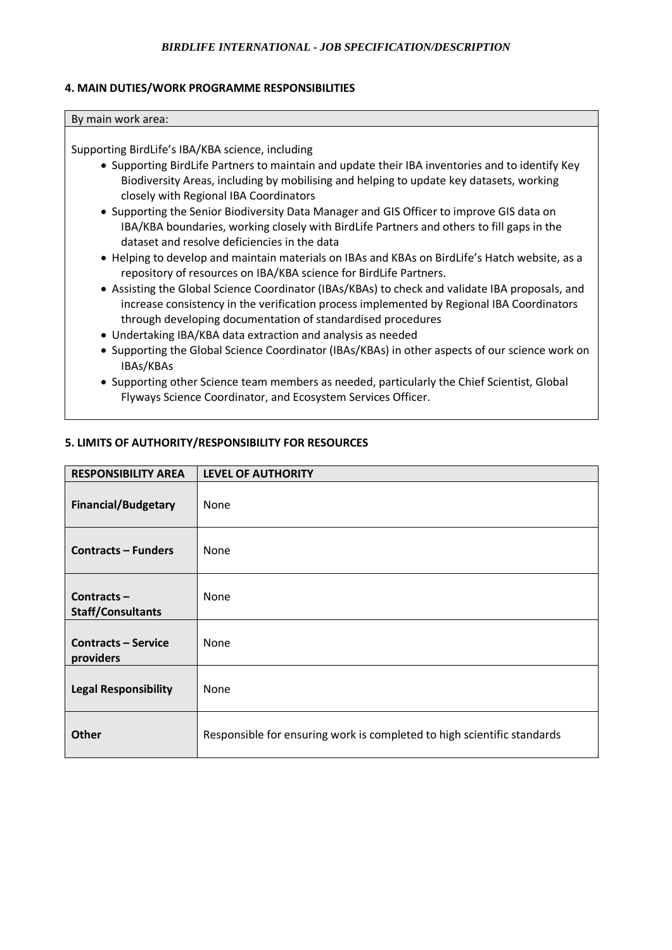# *BIRDLIFE INTERNATIONAL - JOB SPECIFICATION/DESCRIPTION*

## **4. MAIN DUTIES/WORK PROGRAMME RESPONSIBILITIES**

#### By main work area:

Supporting BirdLife's IBA/KBA science, including

- Supporting BirdLife Partners to maintain and update their IBA inventories and to identify Key Biodiversity Areas, including by mobilising and helping to update key datasets, working closely with Regional IBA Coordinators
- Supporting the Senior Biodiversity Data Manager and GIS Officer to improve GIS data on IBA/KBA boundaries, working closely with BirdLife Partners and others to fill gaps in the dataset and resolve deficiencies in the data
- Helping to develop and maintain materials on IBAs and KBAs on BirdLife's Hatch website, as a repository of resources on IBA/KBA science for BirdLife Partners.
- Assisting the Global Science Coordinator (IBAs/KBAs) to check and validate IBA proposals, and increase consistency in the verification process implemented by Regional IBA Coordinators through developing documentation of standardised procedures
- Undertaking IBA/KBA data extraction and analysis as needed
- Supporting the Global Science Coordinator (IBAs/KBAs) in other aspects of our science work on IBAs/KBAs
- Supporting other Science team members as needed, particularly the Chief Scientist, Global Flyways Science Coordinator, and Ecosystem Services Officer.

| <b>RESPONSIBILITY AREA</b>                | <b>LEVEL OF AUTHORITY</b>                                               |
|-------------------------------------------|-------------------------------------------------------------------------|
| <b>Financial/Budgetary</b>                | None                                                                    |
| <b>Contracts – Funders</b>                | None                                                                    |
| Contracts $-$<br><b>Staff/Consultants</b> | None                                                                    |
| <b>Contracts – Service</b><br>providers   | None                                                                    |
| <b>Legal Responsibility</b>               | None                                                                    |
| <b>Other</b>                              | Responsible for ensuring work is completed to high scientific standards |

### **5. LIMITS OF AUTHORITY/RESPONSIBILITY FOR RESOURCES**